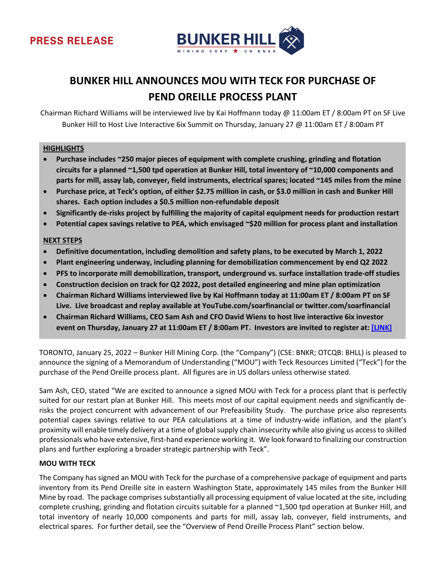

# **BUNKER HILL ANNOUNCES MOU WITH TECK FOR PURCHASE OF PEND OREILLE PROCESS PLANT**

Chairman Richard Williams will be interviewed live by Kai Hoffmann today @ 11:00am ET / 8:00am PT on SF Live Bunker Hill to Host Live Interactive 6ix Summit on Thursday, January 27 @ 11:00am ET / 8:00am PT

## **HIGHLIGHTS**

- **Purchase includes ~250 major pieces of equipment with complete crushing, grinding and flotation circuits for a planned ~1,500 tpd operation at Bunker Hill, total inventory of ~10,000 components and parts for mill, assay lab, conveyer, field instruments, electrical spares; located ~145 miles from the mine**
- **Purchase price, at Teck's option, of either \$2.75 million in cash, or \$3.0 million in cash and Bunker Hill shares. Each option includes a \$0.5 million non-refundable deposit**
- **Significantly de-risks project by fulfilling the majority of capital equipment needs for production restart**
- **Potential capex savings relative to PEA, which envisaged ~\$20 million for process plant and installation**

#### **NEXT STEPS**

- **Definitive documentation, including demolition and safety plans, to be executed by March 1, 2022**
- **Plant engineering underway, including planning for demobilization commencement by end Q2 2022**
- **PFS to incorporate mill demobilization, transport, underground vs. surface installation trade-off studies**
- **Construction decision on track for Q2 2022, post detailed engineering and mine plan optimization**
- **Chairman Richard Williams interviewed live by Kai Hoffmann today at 11:00am ET / 8:00am PT on SF Live. Live broadcast and replay available at YouTube.com/soarfinancial or twitter.com/soarfinancial**
- **Chairman Richard Williams, CEO Sam Ash and CFO David Wiens to host live interactive 6ix investor event on Thursday, January 27 at 11:00am ET / 8:00am PT. Investors are invited to register at: [\[LINK\]](https://my.6ix.com/mtAyiI2O)**

TORONTO, January 25, 2022 – Bunker Hill Mining Corp. (the "Company") (CSE: BNKR; OTCQB: BHLL) is pleased to announce the signing of a Memorandum of Understanding ("MOU") with Teck Resources Limited ("Teck") for the purchase of the Pend Oreille process plant. All figures are in US dollars unless otherwise stated.

Sam Ash, CEO, stated "We are excited to announce a signed MOU with Teck for a process plant that is perfectly suited for our restart plan at Bunker Hill. This meets most of our capital equipment needs and significantly derisks the project concurrent with advancement of our Prefeasibility Study. The purchase price also represents potential capex savings relative to our PEA calculations at a time of industry-wide inflation, and the plant's proximity will enable timely delivery at a time of global supply chain insecurity while also giving us access to skilled professionals who have extensive, first-hand experience working it. We look forward to finalizing our construction plans and further exploring a broader strategic partnership with Teck".

## **MOU WITH TECK**

The Company has signed an MOU with Teck for the purchase of a comprehensive package of equipment and parts inventory from its Pend Oreille site in eastern Washington State, approximately 145 miles from the Bunker Hill Mine by road. The package comprises substantially all processing equipment of value located at the site, including complete crushing, grinding and flotation circuits suitable for a planned ~1,500 tpd operation at Bunker Hill, and total inventory of nearly 10,000 components and parts for mill, assay lab, conveyer, field instruments, and electrical spares. For further detail, see the "Overview of Pend Oreille Process Plant" section below.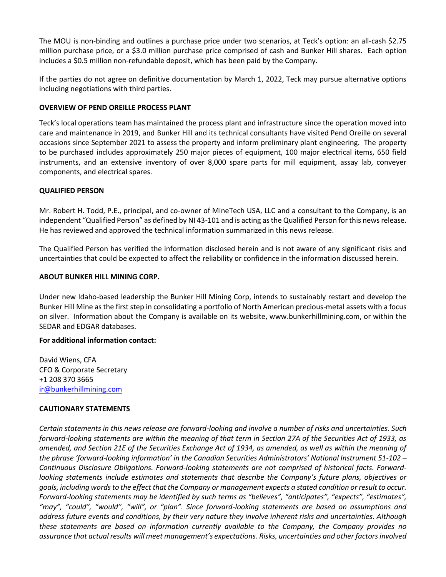The MOU is non-binding and outlines a purchase price under two scenarios, at Teck's option: an all-cash \$2.75 million purchase price, or a \$3.0 million purchase price comprised of cash and Bunker Hill shares. Each option includes a \$0.5 million non-refundable deposit, which has been paid by the Company.

If the parties do not agree on definitive documentation by March 1, 2022, Teck may pursue alternative options including negotiations with third parties.

## **OVERVIEW OF PEND OREILLE PROCESS PLANT**

Teck's local operations team has maintained the process plant and infrastructure since the operation moved into care and maintenance in 2019, and Bunker Hill and its technical consultants have visited Pend Oreille on several occasions since September 2021 to assess the property and inform preliminary plant engineering. The property to be purchased includes approximately 250 major pieces of equipment, 100 major electrical items, 650 field instruments, and an extensive inventory of over 8,000 spare parts for mill equipment, assay lab, conveyer components, and electrical spares.

#### **QUALIFIED PERSON**

Mr. Robert H. Todd, P.E., principal, and co-owner of MineTech USA, LLC and a consultant to the Company, is an independent "Qualified Person" as defined by NI 43-101 and is acting as the Qualified Person for this news release. He has reviewed and approved the technical information summarized in this news release.

The Qualified Person has verified the information disclosed herein and is not aware of any significant risks and uncertainties that could be expected to affect the reliability or confidence in the information discussed herein.

## **ABOUT BUNKER HILL MINING CORP.**

Under new Idaho-based leadership the Bunker Hill Mining Corp, intends to sustainably restart and develop the Bunker Hill Mine as the first step in consolidating a portfolio of North American precious-metal assets with a focus on silver. Information about the Company is available on its website, www.bunkerhillmining.com, or within the SEDAR and EDGAR databases.

## **For additional information contact:**

David Wiens, CFA CFO & Corporate Secretary +1 208 370 3665 [ir@bunkerhillmining.com](mailto:ir@bunkerhillmining.com)

## **CAUTIONARY STATEMENTS**

*Certain statements in this news release are forward-looking and involve a number of risks and uncertainties. Such forward-looking statements are within the meaning of that term in Section 27A of the Securities Act of 1933, as amended, and Section 21E of the Securities Exchange Act of 1934, as amended, as well as within the meaning of the phrase 'forward-looking information' in the Canadian Securities Administrators' National Instrument 51-102 – Continuous Disclosure Obligations. Forward-looking statements are not comprised of historical facts. Forwardlooking statements include estimates and statements that describe the Company's future plans, objectives or goals, including words to the effect that the Company or management expects a stated condition or result to occur. Forward-looking statements may be identified by such terms as "believes", "anticipates", "expects", "estimates", "may", "could", "would", "will", or "plan". Since forward-looking statements are based on assumptions and address future events and conditions, by their very nature they involve inherent risks and uncertainties. Although these statements are based on information currently available to the Company, the Company provides no assurance that actual results will meet management's expectations. Risks, uncertainties and other factors involved*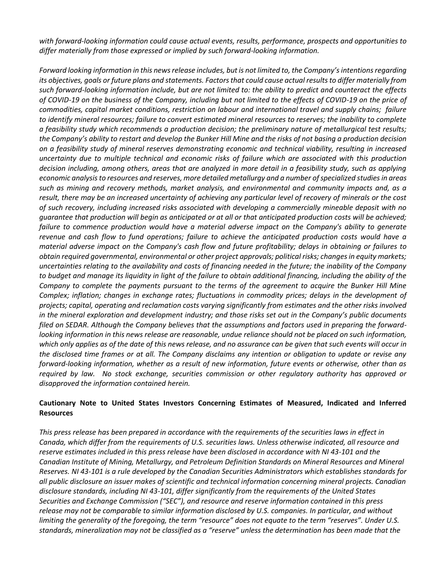*with forward-looking information could cause actual events, results, performance, prospects and opportunities to differ materially from those expressed or implied by such forward-looking information.* 

*Forward looking information in this news release includes, but is not limited to, the Company's intentions regarding its objectives, goals or future plans and statements. Factors that could cause actual results to differ materially from such forward-looking information include, but are not limited to: the ability to predict and counteract the effects of COVID-19 on the business of the Company, including but not limited to the effects of COVID-19 on the price of commodities, capital market conditions, restriction on labour and international travel and supply chains; failure to identify mineral resources; failure to convert estimated mineral resources to reserves; the inability to complete a feasibility study which recommends a production decision; the preliminary nature of metallurgical test results; the Company's ability to restart and develop the Bunker Hill Mine and the risks of not basing a production decision on a feasibility study of mineral reserves demonstrating economic and technical viability, resulting in increased uncertainty due to multiple technical and economic risks of failure which are associated with this production decision including, among others, areas that are analyzed in more detail in a feasibility study, such as applying economic analysis to resources and reserves, more detailed metallurgy and a number of specialized studies in areas such as mining and recovery methods, market analysis, and environmental and community impacts and, as a result, there may be an increased uncertainty of achieving any particular level of recovery of minerals or the cost of such recovery, including increased risks associated with developing a commercially mineable deposit with no guarantee that production will begin as anticipated or at all or that anticipated production costs will be achieved; failure to commence production would have a material adverse impact on the Company's ability to generate revenue and cash flow to fund operations; failure to achieve the anticipated production costs would have a material adverse impact on the Company's cash flow and future profitability; delays in obtaining or failures to obtain required governmental, environmental or other project approvals; political risks; changes in equity markets; uncertainties relating to the availability and costs of financing needed in the future; the inability of the Company to budget and manage its liquidity in light of the failure to obtain additional financing, including the ability of the Company to complete the payments pursuant to the terms of the agreement to acquire the Bunker Hill Mine Complex; inflation; changes in exchange rates; fluctuations in commodity prices; delays in the development of projects; capital, operating and reclamation costs varying significantly from estimates and the other risks involved in the mineral exploration and development industry; and those risks set out in the Company's public documents filed on SEDAR. Although the Company believes that the assumptions and factors used in preparing the forwardlooking information in this news release are reasonable, undue reliance should not be placed on such information, which only applies as of the date of this news release, and no assurance can be given that such events will occur in the disclosed time frames or at all. The Company disclaims any intention or obligation to update or revise any forward-looking information, whether as a result of new information, future events or otherwise, other than as required by law. No stock exchange, securities commission or other regulatory authority has approved or disapproved the information contained herein.*

## **Cautionary Note to United States Investors Concerning Estimates of Measured, Indicated and Inferred Resources**

*This press release has been prepared in accordance with the requirements of the securities laws in effect in Canada, which differ from the requirements of U.S. securities laws. Unless otherwise indicated, all resource and reserve estimates included in this press release have been disclosed in accordance with NI 43-101 and the Canadian Institute of Mining, Metallurgy, and Petroleum Definition Standards on Mineral Resources and Mineral Reserves. NI 43-101 is a rule developed by the Canadian Securities Administrators which establishes standards for all public disclosure an issuer makes of scientific and technical information concerning mineral projects. Canadian disclosure standards, including NI 43-101, differ significantly from the requirements of the United States Securities and Exchange Commission ("SEC"), and resource and reserve information contained in this press release may not be comparable to similar information disclosed by U.S. companies. In particular, and without limiting the generality of the foregoing, the term "resource" does not equate to the term "reserves". Under U.S. standards, mineralization may not be classified as a "reserve" unless the determination has been made that the*